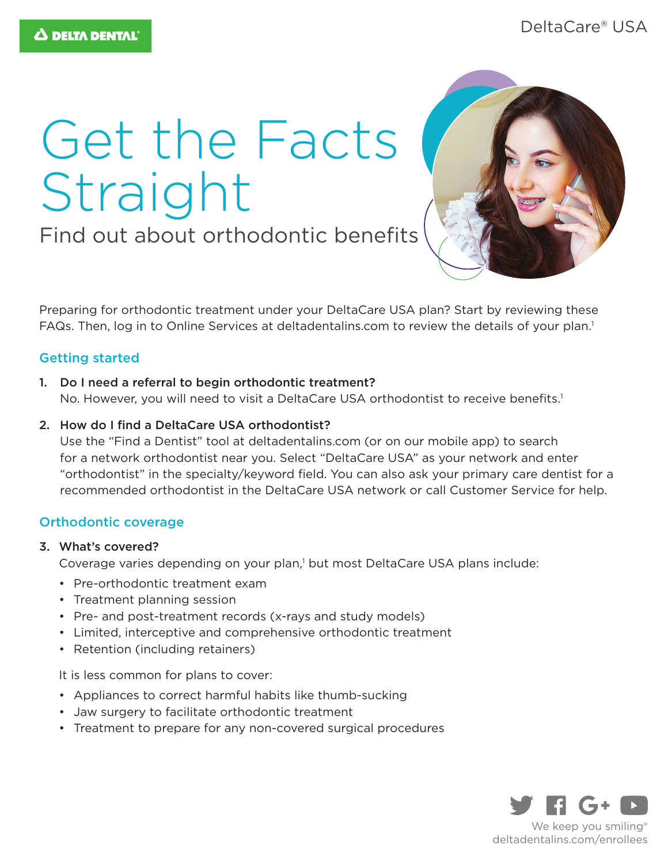# Get the Facts Straight

Find out about orthodontic benefits



Preparing for orthodontic treatment under your DeltaCare USA plan? Start by reviewing these FAQs. Then, log in to Online Services at deltadentalins.com to review the details of your plan.<sup>1</sup>

# Getting started

- 1. Do I need a referral to begin orthodontic treatment? No. However, you will need to visit a DeltaCare USA orthodontist to receive benefits.<sup>1</sup>
- 2. How do I find a DeltaCare USA orthodontist?

Use the "Find a Dentist" tool at deltadentalins.com (or on our mobile app) to search for a network orthodontist near you. Select "DeltaCare USA" as your network and enter "orthodontist" in the specialty/keyword field. You can also ask your primary care dentist for a recommended orthodontist in the DeltaCare USA network or call Customer Service for help.

# Orthodontic coverage

# 3. What's covered?

Coverage varies depending on your plan,<sup>1</sup> but most DeltaCare USA plans include:

- Pre-orthodontic treatment exam
- Treatment planning session
- Pre- and post-treatment records (x-rays and study models)
- Limited, interceptive and comprehensive orthodontic treatment
- Retention (including retainers)

It is less common for plans to cover:

- Appliances to correct harmful habits like thumb-sucking
- Jaw surgery to facilitate orthodontic treatment
- Treatment to prepare for any non-covered surgical procedures